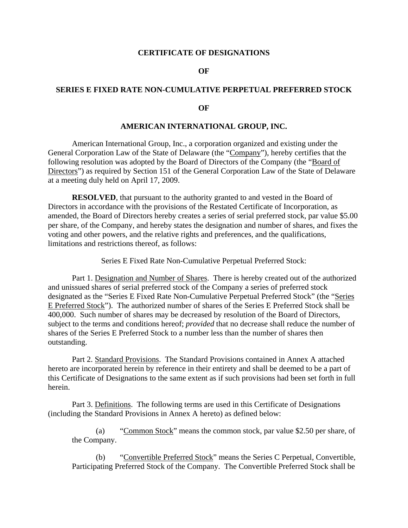### **CERTIFICATE OF DESIGNATIONS**

### **OF**

## **SERIES E FIXED RATE NON-CUMULATIVE PERPETUAL PREFERRED STOCK**

#### **OF**

#### **AMERICAN INTERNATIONAL GROUP, INC.**

American International Group, Inc., a corporation organized and existing under the General Corporation Law of the State of Delaware (the "Company"), hereby certifies that the following resolution was adopted by the Board of Directors of the Company (the "Board of Directors") as required by Section 151 of the General Corporation Law of the State of Delaware at a meeting duly held on April 17, 2009.

**RESOLVED**, that pursuant to the authority granted to and vested in the Board of Directors in accordance with the provisions of the Restated Certificate of Incorporation, as amended, the Board of Directors hereby creates a series of serial preferred stock, par value \$5.00 per share, of the Company, and hereby states the designation and number of shares, and fixes the voting and other powers, and the relative rights and preferences, and the qualifications, limitations and restrictions thereof, as follows:

Series E Fixed Rate Non-Cumulative Perpetual Preferred Stock:

Part 1. Designation and Number of Shares. There is hereby created out of the authorized and unissued shares of serial preferred stock of the Company a series of preferred stock designated as the "Series E Fixed Rate Non-Cumulative Perpetual Preferred Stock" (the "Series E Preferred Stock"). The authorized number of shares of the Series E Preferred Stock shall be 400,000. Such number of shares may be decreased by resolution of the Board of Directors, subject to the terms and conditions hereof; *provided* that no decrease shall reduce the number of shares of the Series E Preferred Stock to a number less than the number of shares then outstanding.

Part 2. Standard Provisions. The Standard Provisions contained in Annex A attached hereto are incorporated herein by reference in their entirety and shall be deemed to be a part of this Certificate of Designations to the same extent as if such provisions had been set forth in full herein.

Part 3. Definitions. The following terms are used in this Certificate of Designations (including the Standard Provisions in Annex A hereto) as defined below:

(a) "Common Stock" means the common stock, par value \$2.50 per share, of the Company.

(b) "Convertible Preferred Stock" means the Series C Perpetual, Convertible, Participating Preferred Stock of the Company. The Convertible Preferred Stock shall be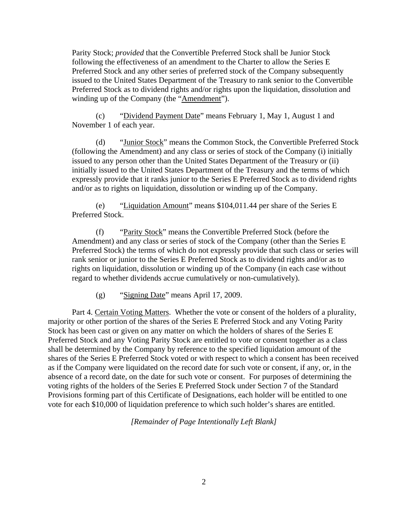Parity Stock; *provided* that the Convertible Preferred Stock shall be Junior Stock following the effectiveness of an amendment to the Charter to allow the Series E Preferred Stock and any other series of preferred stock of the Company subsequently issued to the United States Department of the Treasury to rank senior to the Convertible Preferred Stock as to dividend rights and/or rights upon the liquidation, dissolution and winding up of the Company (the "Amendment").

(c) "Dividend Payment Date" means February 1, May 1, August 1 and November 1 of each year.

(d) "Junior Stock" means the Common Stock, the Convertible Preferred Stock (following the Amendment) and any class or series of stock of the Company (i) initially issued to any person other than the United States Department of the Treasury or (ii) initially issued to the United States Department of the Treasury and the terms of which expressly provide that it ranks junior to the Series E Preferred Stock as to dividend rights and/or as to rights on liquidation, dissolution or winding up of the Company.

(e) "Liquidation Amount" means \$104,011.44 per share of the Series E Preferred Stock.

(f) "Parity Stock" means the Convertible Preferred Stock (before the Amendment) and any class or series of stock of the Company (other than the Series E Preferred Stock) the terms of which do not expressly provide that such class or series will rank senior or junior to the Series E Preferred Stock as to dividend rights and/or as to rights on liquidation, dissolution or winding up of the Company (in each case without regard to whether dividends accrue cumulatively or non-cumulatively).

(g) "Signing Date" means April 17, 2009.

Part 4. Certain Voting Matters. Whether the vote or consent of the holders of a plurality, majority or other portion of the shares of the Series E Preferred Stock and any Voting Parity Stock has been cast or given on any matter on which the holders of shares of the Series E Preferred Stock and any Voting Parity Stock are entitled to vote or consent together as a class shall be determined by the Company by reference to the specified liquidation amount of the shares of the Series E Preferred Stock voted or with respect to which a consent has been received as if the Company were liquidated on the record date for such vote or consent, if any, or, in the absence of a record date, on the date for such vote or consent. For purposes of determining the voting rights of the holders of the Series E Preferred Stock under Section 7 of the Standard Provisions forming part of this Certificate of Designations, each holder will be entitled to one vote for each \$10,000 of liquidation preference to which such holder's shares are entitled.

*[Remainder of Page Intentionally Left Blank]*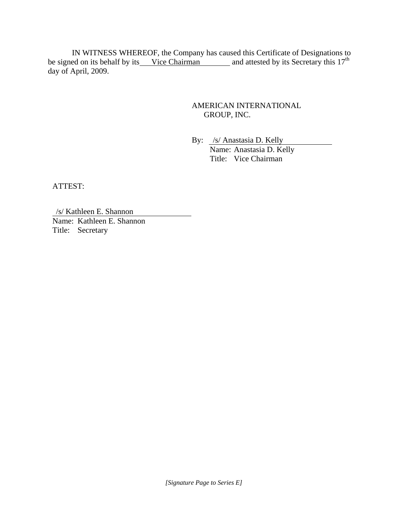IN WITNESS WHEREOF, the Company has caused this Certificate of Designations to be signed on its behalf by its Vice Chairman and attested by its Secretary this  $17<sup>th</sup>$ day of April, 2009.

# AMERICAN INTERNATIONAL GROUP, INC.

By: /s/ Anastasia D. Kelly Name: Anastasia D. Kelly Title: Vice Chairman

ATTEST:

/s/ Kathleen E. Shannon Name: Kathleen E. Shannon Title: Secretary

*[Signature Page to Series E]*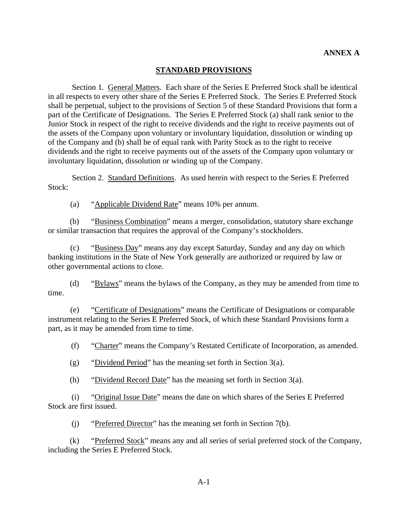### **STANDARD PROVISIONS**

Section 1*.* General Matters*.* Each share of the Series E Preferred Stock shall be identical in all respects to every other share of the Series E Preferred Stock. The Series E Preferred Stock shall be perpetual, subject to the provisions of Section 5 of these Standard Provisions that form a part of the Certificate of Designations. The Series E Preferred Stock (a) shall rank senior to the Junior Stock in respect of the right to receive dividends and the right to receive payments out of the assets of the Company upon voluntary or involuntary liquidation, dissolution or winding up of the Company and (b) shall be of equal rank with Parity Stock as to the right to receive dividends and the right to receive payments out of the assets of the Company upon voluntary or involuntary liquidation, dissolution or winding up of the Company.

Section 2. Standard Definitions. As used herein with respect to the Series E Preferred Stock:

(a) "Applicable Dividend Rate" means 10% per annum.

(b) "Business Combination" means a merger, consolidation, statutory share exchange or similar transaction that requires the approval of the Company's stockholders.

(c) "Business Day" means any day except Saturday, Sunday and any day on which banking institutions in the State of New York generally are authorized or required by law or other governmental actions to close.

(d) "Bylaws" means the bylaws of the Company, as they may be amended from time to time.

(e) "Certificate of Designations" means the Certificate of Designations or comparable instrument relating to the Series E Preferred Stock, of which these Standard Provisions form a part, as it may be amended from time to time.

(f) "Charter" means the Company's Restated Certificate of Incorporation, as amended.

(g) "Dividend Period" has the meaning set forth in [Section 3\(a\).](#page-4-0)

(h) "Dividend Record Date" has the meaning set forth in [Section 3\(a\).](#page-4-0)

(i) "Original Issue Date" means the date on which shares of the Series E Preferred Stock are first issued.

(j) "Preferred Director" has the meaning set forth in [Section 7\(b\)](#page-10-0).

(k) "Preferred Stock" means any and all series of serial preferred stock of the Company, including the Series E Preferred Stock.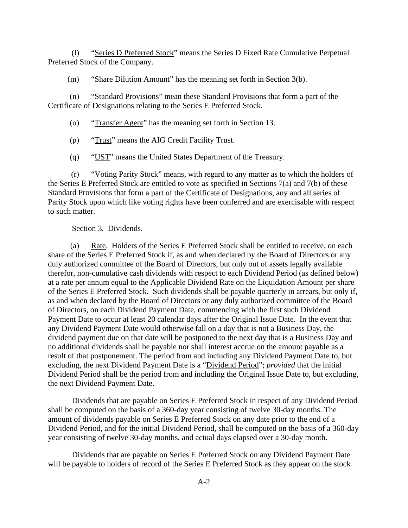(l) "Series D Preferred Stock" means the Series D Fixed Rate Cumulative Perpetual Preferred Stock of the Company.

(m) "Share Dilution Amount" has the meaning set forth in [Section 3\(b\)](#page-6-0).

(n) "Standard Provisions" mean these Standard Provisions that form a part of the Certificate of Designations relating to the Series E Preferred Stock.

(o) "Transfer Agent" has the meaning set forth in [Section 13](#page-13-0).

(p) "Trust" means the AIG Credit Facility Trust.

(q) "UST" means the United States Department of the Treasury.

(r) "Voting Parity Stock" means, with regard to any matter as to which the holders of the Series E Preferred Stock are entitled to vote as specified in Sections [7\(a\)](#page-9-0) and [7\(b\)](#page-10-0) of these Standard Provisions that form a part of the Certificate of Designations, any and all series of Parity Stock upon which like voting rights have been conferred and are exercisable with respect to such matter.

## Section 3*.* Dividends*.*

<span id="page-4-1"></span><span id="page-4-0"></span>(a) Rate. Holders of the Series E Preferred Stock shall be entitled to receive, on each share of the Series E Preferred Stock if, as and when declared by the Board of Directors or any duly authorized committee of the Board of Directors, but only out of assets legally available therefor, non-cumulative cash dividends with respect to each Dividend Period (as defined below) at a rate per annum equal to the Applicable Dividend Rate on the Liquidation Amount per share of the Series E Preferred Stock. Such dividends shall be payable quarterly in arrears, but only if, as and when declared by the Board of Directors or any duly authorized committee of the Board of Directors, on each Dividend Payment Date, commencing with the first such Dividend Payment Date to occur at least 20 calendar days after the Original Issue Date. In the event that any Dividend Payment Date would otherwise fall on a day that is not a Business Day, the dividend payment due on that date will be postponed to the next day that is a Business Day and no additional dividends shall be payable nor shall interest accrue on the amount payable as a result of that postponement. The period from and including any Dividend Payment Date to, but excluding, the next Dividend Payment Date is a "Dividend Period"; *provided* that the initial Dividend Period shall be the period from and including the Original Issue Date to, but excluding, the next Dividend Payment Date.

Dividends that are payable on Series E Preferred Stock in respect of any Dividend Period shall be computed on the basis of a 360-day year consisting of twelve 30-day months. The amount of dividends payable on Series E Preferred Stock on any date prior to the end of a Dividend Period, and for the initial Dividend Period, shall be computed on the basis of a 360-day year consisting of twelve 30-day months, and actual days elapsed over a 30-day month.

Dividends that are payable on Series E Preferred Stock on any Dividend Payment Date will be payable to holders of record of the Series E Preferred Stock as they appear on the stock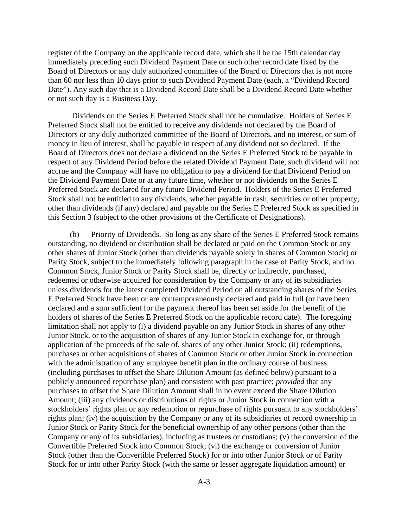register of the Company on the applicable record date, which shall be the 15th calendar day immediately preceding such Dividend Payment Date or such other record date fixed by the Board of Directors or any duly authorized committee of the Board of Directors that is not more than 60 nor less than 10 days prior to such Dividend Payment Date (each, a "Dividend Record Date"). Any such day that is a Dividend Record Date shall be a Dividend Record Date whether or not such day is a Business Day.

Dividends on the Series E Preferred Stock shall not be cumulative. Holders of Series E Preferred Stock shall not be entitled to receive any dividends not declared by the Board of Directors or any duly authorized committee of the Board of Directors, and no interest, or sum of money in lieu of interest, shall be payable in respect of any dividend not so declared. If the Board of Directors does not declare a dividend on the Series E Preferred Stock to be payable in respect of any Dividend Period before the related Dividend Payment Date, such dividend will not accrue and the Company will have no obligation to pay a dividend for that Dividend Period on the Dividend Payment Date or at any future time, whether or not dividends on the Series E Preferred Stock are declared for any future Dividend Period. Holders of the Series E Preferred Stock shall not be entitled to any dividends, whether payable in cash, securities or other property, other than dividends (if any) declared and payable on the Series E Preferred Stock as specified in this [Section 3](#page-4-1) (subject to the other provisions of the Certificate of Designations).

(b) Priority of Dividends. So long as any share of the Series E Preferred Stock remains outstanding, no dividend or distribution shall be declared or paid on the Common Stock or any other shares of Junior Stock (other than dividends payable solely in shares of Common Stock) or Parity Stock, subject to the immediately following paragraph in the case of Parity Stock, and no Common Stock, Junior Stock or Parity Stock shall be, directly or indirectly, purchased, redeemed or otherwise acquired for consideration by the Company or any of its subsidiaries unless dividends for the latest completed Dividend Period on all outstanding shares of the Series E Preferred Stock have been or are contemporaneously declared and paid in full (or have been declared and a sum sufficient for the payment thereof has been set aside for the benefit of the holders of shares of the Series E Preferred Stock on the applicable record date). The foregoing limitation shall not apply to (i) a dividend payable on any Junior Stock in shares of any other Junior Stock, or to the acquisition of shares of any Junior Stock in exchange for, or through application of the proceeds of the sale of, shares of any other Junior Stock; (ii) redemptions, purchases or other acquisitions of shares of Common Stock or other Junior Stock in connection with the administration of any employee benefit plan in the ordinary course of business (including purchases to offset the Share Dilution Amount (as defined below) pursuant to a publicly announced repurchase plan) and consistent with past practice; *provided* that any purchases to offset the Share Dilution Amount shall in no event exceed the Share Dilution Amount; (iii) any dividends or distributions of rights or Junior Stock in connection with a stockholders' rights plan or any redemption or repurchase of rights pursuant to any stockholders' rights plan; (iv) the acquisition by the Company or any of its subsidiaries of record ownership in Junior Stock or Parity Stock for the beneficial ownership of any other persons (other than the Company or any of its subsidiaries), including as trustees or custodians; (v) the conversion of the Convertible Preferred Stock into Common Stock; (vi) the exchange or conversion of Junior Stock (other than the Convertible Preferred Stock) for or into other Junior Stock or of Parity Stock for or into other Parity Stock (with the same or lesser aggregate liquidation amount) or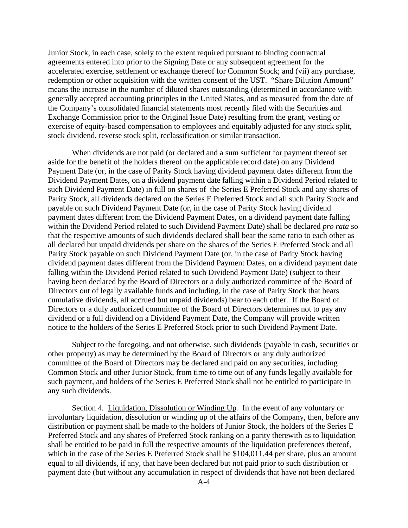Junior Stock, in each case, solely to the extent required pursuant to binding contractual agreements entered into prior to the Signing Date or any subsequent agreement for the accelerated exercise, settlement or exchange thereof for Common Stock; and (vii) any purchase, redemption or other acquisition with the written consent of the UST. "Share Dilution Amount" means the increase in the number of diluted shares outstanding (determined in accordance with generally accepted accounting principles in the United States, and as measured from the date of the Company's consolidated financial statements most recently filed with the Securities and Exchange Commission prior to the Original Issue Date) resulting from the grant, vesting or exercise of equity-based compensation to employees and equitably adjusted for any stock split, stock dividend, reverse stock split, reclassification or similar transaction.

<span id="page-6-0"></span>When dividends are not paid (or declared and a sum sufficient for payment thereof set aside for the benefit of the holders thereof on the applicable record date) on any Dividend Payment Date (or, in the case of Parity Stock having dividend payment dates different from the Dividend Payment Dates, on a dividend payment date falling within a Dividend Period related to such Dividend Payment Date) in full on shares of the Series E Preferred Stock and any shares of Parity Stock, all dividends declared on the Series E Preferred Stock and all such Parity Stock and payable on such Dividend Payment Date (or, in the case of Parity Stock having dividend payment dates different from the Dividend Payment Dates, on a dividend payment date falling within the Dividend Period related to such Dividend Payment Date) shall be declared *pro rata* so that the respective amounts of such dividends declared shall bear the same ratio to each other as all declared but unpaid dividends per share on the shares of the Series E Preferred Stock and all Parity Stock payable on such Dividend Payment Date (or, in the case of Parity Stock having dividend payment dates different from the Dividend Payment Dates, on a dividend payment date falling within the Dividend Period related to such Dividend Payment Date) (subject to their having been declared by the Board of Directors or a duly authorized committee of the Board of Directors out of legally available funds and including, in the case of Parity Stock that bears cumulative dividends, all accrued but unpaid dividends) bear to each other. If the Board of Directors or a duly authorized committee of the Board of Directors determines not to pay any dividend or a full dividend on a Dividend Payment Date, the Company will provide written notice to the holders of the Series E Preferred Stock prior to such Dividend Payment Date.

Subject to the foregoing, and not otherwise, such dividends (payable in cash, securities or other property) as may be determined by the Board of Directors or any duly authorized committee of the Board of Directors may be declared and paid on any securities, including Common Stock and other Junior Stock, from time to time out of any funds legally available for such payment, and holders of the Series E Preferred Stock shall not be entitled to participate in any such dividends.

Section 4*.* Liquidation, Dissolution or Winding Up*.* In the event of any voluntary or involuntary liquidation, dissolution or winding up of the affairs of the Company, then, before any distribution or payment shall be made to the holders of Junior Stock, the holders of the Series E Preferred Stock and any shares of Preferred Stock ranking on a parity therewith as to liquidation shall be entitled to be paid in full the respective amounts of the liquidation preferences thereof, which in the case of the Series E Preferred Stock shall be \$104,011.44 per share, plus an amount equal to all dividends, if any, that have been declared but not paid prior to such distribution or payment date (but without any accumulation in respect of dividends that have not been declared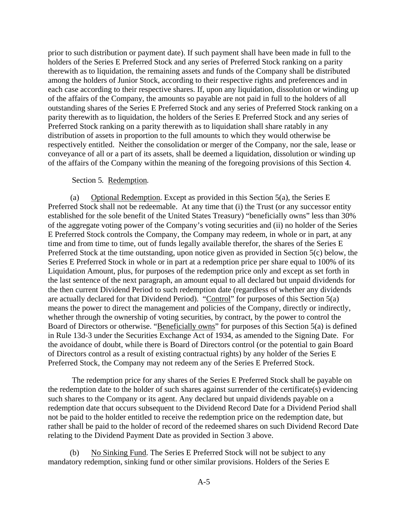prior to such distribution or payment date). If such payment shall have been made in full to the holders of the Series E Preferred Stock and any series of Preferred Stock ranking on a parity therewith as to liquidation, the remaining assets and funds of the Company shall be distributed among the holders of Junior Stock, according to their respective rights and preferences and in each case according to their respective shares. If, upon any liquidation, dissolution or winding up of the affairs of the Company, the amounts so payable are not paid in full to the holders of all outstanding shares of the Series E Preferred Stock and any series of Preferred Stock ranking on a parity therewith as to liquidation, the holders of the Series E Preferred Stock and any series of Preferred Stock ranking on a parity therewith as to liquidation shall share ratably in any distribution of assets in proportion to the full amounts to which they would otherwise be respectively entitled. Neither the consolidation or merger of the Company, nor the sale, lease or conveyance of all or a part of its assets, shall be deemed a liquidation, dissolution or winding up of the affairs of the Company within the meaning of the foregoing provisions of this [Section 4](#page-7-0).

### Section 5*.* Redemption*.*

<span id="page-7-2"></span><span id="page-7-1"></span>(a) Optional Redemption. Except as provided in this [Section 5\(a\)](#page-7-1), the Series E Preferred Stock shall not be redeemable. At any time that (i) the Trust (or any successor entity established for the sole benefit of the United States Treasury) "beneficially owns" less than 30% of the aggregate voting power of the Company's voting securities and (ii) no holder of the Series E Preferred Stock controls the Company, the Company may redeem, in whole or in part, at any time and from time to time, out of funds legally available therefor, the shares of the Series E Preferred Stock at the time outstanding, upon notice given as provided in [Section 5\(c\)](#page-8-0) below, the Series E Preferred Stock in whole or in part at a redemption price per share equal to 100% of its Liquidation Amount, plus, for purposes of the redemption price only and except as set forth in the last sentence of the next paragraph, an amount equal to all declared but unpaid dividends for the then current Dividend Period to such redemption date (regardless of whether any dividends are actually declared for that Dividend Period). "Control" for purposes of this Section 5(a) means the power to direct the management and policies of the Company, directly or indirectly, whether through the ownership of voting securities, by contract, by the power to control the Board of Directors or otherwise. "Beneficially owns" for purposes of this [Section 5\(a\)](#page-7-1) is defined in Rule 13d-3 under the Securities Exchange Act of 1934, as amended to the Signing Date. For the avoidance of doubt, while there is Board of Directors control (or the potential to gain Board of Directors control as a result of existing contractual rights) by any holder of the Series E Preferred Stock, the Company may not redeem any of the Series E Preferred Stock.

<span id="page-7-0"></span>The redemption price for any shares of the Series E Preferred Stock shall be payable on the redemption date to the holder of such shares against surrender of the certificate(s) evidencing such shares to the Company or its agent. Any declared but unpaid dividends payable on a redemption date that occurs subsequent to the Dividend Record Date for a Dividend Period shall not be paid to the holder entitled to receive the redemption price on the redemption date, but rather shall be paid to the holder of record of the redeemed shares on such Dividend Record Date relating to the Dividend Payment Date as provided in [Section 3](#page-4-1) above.

(b) No Sinking Fund. The Series E Preferred Stock will not be subject to any mandatory redemption, sinking fund or other similar provisions. Holders of the Series E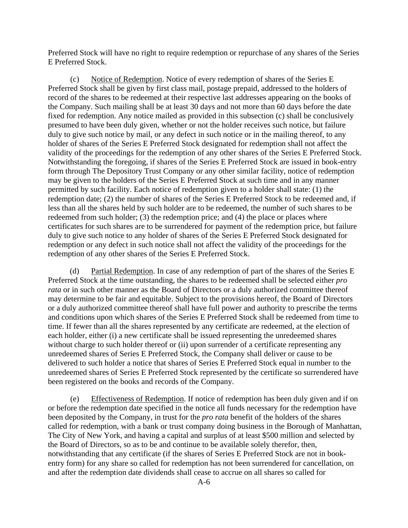Preferred Stock will have no right to require redemption or repurchase of any shares of the Series E Preferred Stock.

<span id="page-8-0"></span>(c) Notice of Redemption. Notice of every redemption of shares of the Series E Preferred Stock shall be given by first class mail, postage prepaid, addressed to the holders of record of the shares to be redeemed at their respective last addresses appearing on the books of the Company. Such mailing shall be at least 30 days and not more than 60 days before the date fixed for redemption. Any notice mailed as provided in this subsection (c) shall be conclusively presumed to have been duly given, whether or not the holder receives such notice, but failure duly to give such notice by mail, or any defect in such notice or in the mailing thereof, to any holder of shares of the Series E Preferred Stock designated for redemption shall not affect the validity of the proceedings for the redemption of any other shares of the Series E Preferred Stock. Notwithstanding the foregoing, if shares of the Series E Preferred Stock are issued in book-entry form through The Depository Trust Company or any other similar facility, notice of redemption may be given to the holders of the Series E Preferred Stock at such time and in any manner permitted by such facility. Each notice of redemption given to a holder shall state: (1) the redemption date; (2) the number of shares of the Series E Preferred Stock to be redeemed and, if less than all the shares held by such holder are to be redeemed, the number of such shares to be redeemed from such holder; (3) the redemption price; and (4) the place or places where certificates for such shares are to be surrendered for payment of the redemption price, but failure duly to give such notice to any holder of shares of the Series E Preferred Stock designated for redemption or any defect in such notice shall not affect the validity of the proceedings for the redemption of any other shares of the Series E Preferred Stock.

(d) Partial Redemption. In case of any redemption of part of the shares of the Series E Preferred Stock at the time outstanding, the shares to be redeemed shall be selected either *pro rata* or in such other manner as the Board of Directors or a duly authorized committee thereof may determine to be fair and equitable. Subject to the provisions hereof, the Board of Directors or a duly authorized committee thereof shall have full power and authority to prescribe the terms and conditions upon which shares of the Series E Preferred Stock shall be redeemed from time to time. If fewer than all the shares represented by any certificate are redeemed, at the election of each holder, either (i) a new certificate shall be issued representing the unredeemed shares without charge to such holder thereof or (ii) upon surrender of a certificate representing any unredeemed shares of Series E Preferred Stock, the Company shall deliver or cause to be delivered to such holder a notice that shares of Series E Preferred Stock equal in number to the unredeemed shares of Series E Preferred Stock represented by the certificate so surrendered have been registered on the books and records of the Company.

(e) Effectiveness of Redemption. If notice of redemption has been duly given and if on or before the redemption date specified in the notice all funds necessary for the redemption have been deposited by the Company, in trust for the *pro rata* benefit of the holders of the shares called for redemption, with a bank or trust company doing business in the Borough of Manhattan, The City of New York, and having a capital and surplus of at least \$500 million and selected by the Board of Directors, so as to be and continue to be available solely therefor, then, notwithstanding that any certificate (if the shares of Series E Preferred Stock are not in bookentry form) for any share so called for redemption has not been surrendered for cancellation, on and after the redemption date dividends shall cease to accrue on all shares so called for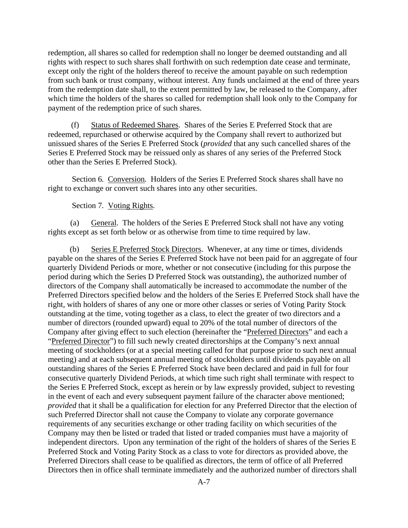redemption, all shares so called for redemption shall no longer be deemed outstanding and all rights with respect to such shares shall forthwith on such redemption date cease and terminate, except only the right of the holders thereof to receive the amount payable on such redemption from such bank or trust company, without interest. Any funds unclaimed at the end of three years from the redemption date shall, to the extent permitted by law, be released to the Company, after which time the holders of the shares so called for redemption shall look only to the Company for payment of the redemption price of such shares.

(f) Status of Redeemed Shares. Shares of the Series E Preferred Stock that are redeemed, repurchased or otherwise acquired by the Company shall revert to authorized but unissued shares of the Series E Preferred Stock (*provided* that any such cancelled shares of the Series E Preferred Stock may be reissued only as shares of any series of the Preferred Stock other than the Series E Preferred Stock).

Section 6*.* Conversion*.* Holders of the Series E Preferred Stock shares shall have no right to exchange or convert such shares into any other securities.

### Section 7*.* Voting Rights*.*

<span id="page-9-0"></span>(a) General. The holders of the Series E Preferred Stock shall not have any voting rights except as set forth below or as otherwise from time to time required by law.

(b) Series E Preferred Stock Directors. Whenever, at any time or times, dividends payable on the shares of the Series E Preferred Stock have not been paid for an aggregate of four quarterly Dividend Periods or more, whether or not consecutive (including for this purpose the period during which the Series D Preferred Stock was outstanding), the authorized number of directors of the Company shall automatically be increased to accommodate the number of the Preferred Directors specified below and the holders of the Series E Preferred Stock shall have the right, with holders of shares of any one or more other classes or series of Voting Parity Stock outstanding at the time, voting together as a class, to elect the greater of two directors and a number of directors (rounded upward) equal to 20% of the total number of directors of the Company after giving effect to such election (hereinafter the "Preferred Directors" and each a "Preferred Director") to fill such newly created directorships at the Company's next annual meeting of stockholders (or at a special meeting called for that purpose prior to such next annual meeting) and at each subsequent annual meeting of stockholders until dividends payable on all outstanding shares of the Series E Preferred Stock have been declared and paid in full for four consecutive quarterly Dividend Periods, at which time such right shall terminate with respect to the Series E Preferred Stock, except as herein or by law expressly provided, subject to revesting in the event of each and every subsequent payment failure of the character above mentioned; *provided* that it shall be a qualification for election for any Preferred Director that the election of such Preferred Director shall not cause the Company to violate any corporate governance requirements of any securities exchange or other trading facility on which securities of the Company may then be listed or traded that listed or traded companies must have a majority of independent directors. Upon any termination of the right of the holders of shares of the Series E Preferred Stock and Voting Parity Stock as a class to vote for directors as provided above, the Preferred Directors shall cease to be qualified as directors, the term of office of all Preferred Directors then in office shall terminate immediately and the authorized number of directors shall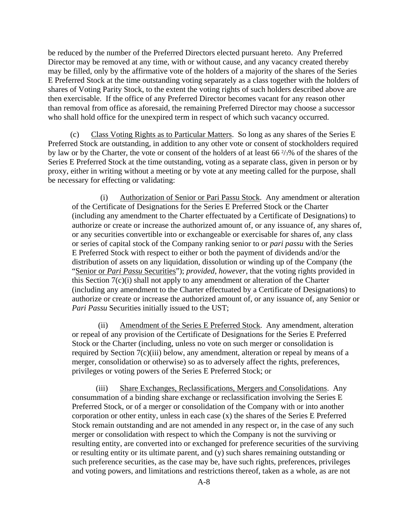be reduced by the number of the Preferred Directors elected pursuant hereto. Any Preferred Director may be removed at any time, with or without cause, and any vacancy created thereby may be filled, only by the affirmative vote of the holders of a majority of the shares of the Series E Preferred Stock at the time outstanding voting separately as a class together with the holders of shares of Voting Parity Stock, to the extent the voting rights of such holders described above are then exercisable. If the office of any Preferred Director becomes vacant for any reason other than removal from office as aforesaid, the remaining Preferred Director may choose a successor who shall hold office for the unexpired term in respect of which such vacancy occurred.

<span id="page-10-1"></span>(c) Class Voting Rights as to Particular Matters. So long as any shares of the Series E Preferred Stock are outstanding, in addition to any other vote or consent of stockholders required by law or by the Charter, the vote or consent of the holders of at least 66 2/3% of the shares of the Series E Preferred Stock at the time outstanding, voting as a separate class, given in person or by proxy, either in writing without a meeting or by vote at any meeting called for the purpose, shall be necessary for effecting or validating:

<span id="page-10-0"></span>(i) Authorization of Senior or Pari Passu Stock. Any amendment or alteration of the Certificate of Designations for the Series E Preferred Stock or the Charter (including any amendment to the Charter effectuated by a Certificate of Designations) to authorize or create or increase the authorized amount of, or any issuance of, any shares of, or any securities convertible into or exchangeable or exercisable for shares of, any class or series of capital stock of the Company ranking senior to or *pari passu* with the Series E Preferred Stock with respect to either or both the payment of dividends and/or the distribution of assets on any liquidation, dissolution or winding up of the Company (the "Senior or *Pari Passu* Securities"); *provided*, *however*, that the voting rights provided in this Section 7(c)(i) shall not apply to any amendment or alteration of the Charter (including any amendment to the Charter effectuated by a Certificate of Designations) to authorize or create or increase the authorized amount of, or any issuance of, any Senior or *Pari Passu* Securities initially issued to the UST;

(ii) Amendment of the Series E Preferred Stock. Any amendment, alteration or repeal of any provision of the Certificate of Designations for the Series E Preferred Stock or the Charter (including, unless no vote on such merger or consolidation is required by [Section 7\(c\)\(iii\)](#page-11-0) below, any amendment, alteration or repeal by means of a merger, consolidation or otherwise) so as to adversely affect the rights, preferences, privileges or voting powers of the Series E Preferred Stock; or

(iii) Share Exchanges, Reclassifications, Mergers and Consolidations. Any consummation of a binding share exchange or reclassification involving the Series E Preferred Stock, or of a merger or consolidation of the Company with or into another corporation or other entity, unless in each case (x) the shares of the Series E Preferred Stock remain outstanding and are not amended in any respect or, in the case of any such merger or consolidation with respect to which the Company is not the surviving or resulting entity, are converted into or exchanged for preference securities of the surviving or resulting entity or its ultimate parent, and (y) such shares remaining outstanding or such preference securities, as the case may be, have such rights, preferences, privileges and voting powers, and limitations and restrictions thereof, taken as a whole, as are not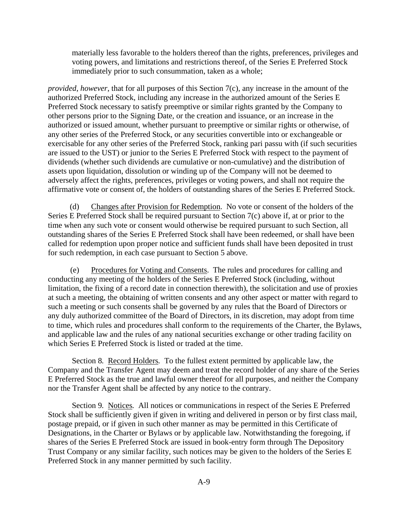materially less favorable to the holders thereof than the rights, preferences, privileges and voting powers, and limitations and restrictions thereof, of the Series E Preferred Stock immediately prior to such consummation, taken as a whole;

*provided*, *however*, that for all purposes of this [Section 7\(c\),](#page-10-1) any increase in the amount of the authorized Preferred Stock, including any increase in the authorized amount of the Series E Preferred Stock necessary to satisfy preemptive or similar rights granted by the Company to other persons prior to the Signing Date, or the creation and issuance, or an increase in the authorized or issued amount, whether pursuant to preemptive or similar rights or otherwise, of any other series of the Preferred Stock, or any securities convertible into or exchangeable or exercisable for any other series of the Preferred Stock, ranking pari passu with (if such securities are issued to the UST) or junior to the Series E Preferred Stock with respect to the payment of dividends (whether such dividends are cumulative or non-cumulative) and the distribution of assets upon liquidation, dissolution or winding up of the Company will not be deemed to adversely affect the rights, preferences, privileges or voting powers, and shall not require the affirmative vote or consent of, the holders of outstanding shares of the Series E Preferred Stock.

(d) Changes after Provision for Redemption. No vote or consent of the holders of the Series E Preferred Stock shall be required pursuant to [Section 7\(c\)](#page-10-1) above if, at or prior to the time when any such vote or consent would otherwise be required pursuant to such Section, all outstanding shares of the Series E Preferred Stock shall have been redeemed, or shall have been called for redemption upon proper notice and sufficient funds shall have been deposited in trust for such redemption, in each case pursuant to [Section 5](#page-7-2) above.

(e) Procedures for Voting and Consents. The rules and procedures for calling and conducting any meeting of the holders of the Series E Preferred Stock (including, without limitation, the fixing of a record date in connection therewith), the solicitation and use of proxies at such a meeting, the obtaining of written consents and any other aspect or matter with regard to such a meeting or such consents shall be governed by any rules that the Board of Directors or any duly authorized committee of the Board of Directors, in its discretion, may adopt from time to time, which rules and procedures shall conform to the requirements of the Charter, the Bylaws, and applicable law and the rules of any national securities exchange or other trading facility on which Series E Preferred Stock is listed or traded at the time.

Section 8*.* Record Holders*.* To the fullest extent permitted by applicable law, the Company and the Transfer Agent may deem and treat the record holder of any share of the Series E Preferred Stock as the true and lawful owner thereof for all purposes, and neither the Company nor the Transfer Agent shall be affected by any notice to the contrary.

<span id="page-11-0"></span>Section 9*.* Notices*.* All notices or communications in respect of the Series E Preferred Stock shall be sufficiently given if given in writing and delivered in person or by first class mail, postage prepaid, or if given in such other manner as may be permitted in this Certificate of Designations, in the Charter or Bylaws or by applicable law. Notwithstanding the foregoing, if shares of the Series E Preferred Stock are issued in book-entry form through The Depository Trust Company or any similar facility, such notices may be given to the holders of the Series E Preferred Stock in any manner permitted by such facility.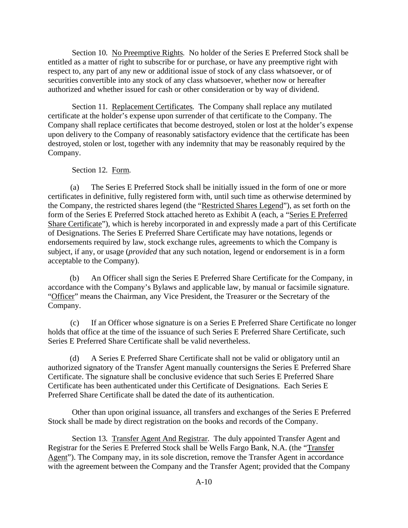Section 10*.* No Preemptive Rights*.* No holder of the Series E Preferred Stock shall be entitled as a matter of right to subscribe for or purchase, or have any preemptive right with respect to, any part of any new or additional issue of stock of any class whatsoever, or of securities convertible into any stock of any class whatsoever, whether now or hereafter authorized and whether issued for cash or other consideration or by way of dividend.

Section 11*.* Replacement Certificates*.* The Company shall replace any mutilated certificate at the holder's expense upon surrender of that certificate to the Company. The Company shall replace certificates that become destroyed, stolen or lost at the holder's expense upon delivery to the Company of reasonably satisfactory evidence that the certificate has been destroyed, stolen or lost, together with any indemnity that may be reasonably required by the Company.

### Section 12*.* Form*.*

(a) The Series E Preferred Stock shall be initially issued in the form of one or more certificates in definitive, fully registered form with, until such time as otherwise determined by the Company, the restricted shares legend (the "Restricted Shares Legend"), as set forth on the form of the Series E Preferred Stock attached hereto as Exhibit A (each, a "Series E Preferred Share Certificate"), which is hereby incorporated in and expressly made a part of this Certificate of Designations. The Series E Preferred Share Certificate may have notations, legends or endorsements required by law, stock exchange rules, agreements to which the Company is subject, if any, or usage (*provided* that any such notation, legend or endorsement is in a form acceptable to the Company).

(b) An Officer shall sign the Series E Preferred Share Certificate for the Company, in accordance with the Company's Bylaws and applicable law, by manual or facsimile signature. "Officer" means the Chairman, any Vice President, the Treasurer or the Secretary of the Company.

(c) If an Officer whose signature is on a Series E Preferred Share Certificate no longer holds that office at the time of the issuance of such Series E Preferred Share Certificate, such Series E Preferred Share Certificate shall be valid nevertheless.

(d) A Series E Preferred Share Certificate shall not be valid or obligatory until an authorized signatory of the Transfer Agent manually countersigns the Series E Preferred Share Certificate. The signature shall be conclusive evidence that such Series E Preferred Share Certificate has been authenticated under this Certificate of Designations. Each Series E Preferred Share Certificate shall be dated the date of its authentication.

Other than upon original issuance, all transfers and exchanges of the Series E Preferred Stock shall be made by direct registration on the books and records of the Company.

Section 13*.* Transfer Agent And Registrar*.* The duly appointed Transfer Agent and Registrar for the Series E Preferred Stock shall be Wells Fargo Bank, N.A. (the "Transfer Agent"). The Company may, in its sole discretion, remove the Transfer Agent in accordance with the agreement between the Company and the Transfer Agent; provided that the Company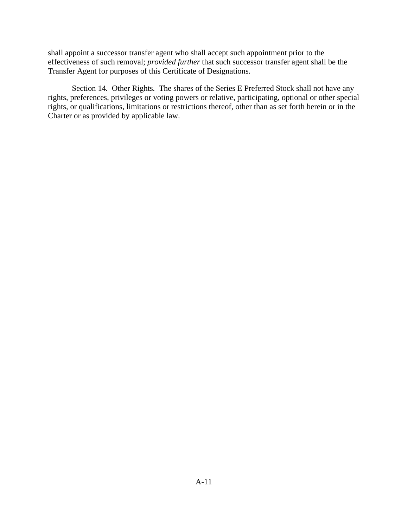shall appoint a successor transfer agent who shall accept such appointment prior to the effectiveness of such removal; *provided further* that such successor transfer agent shall be the Transfer Agent for purposes of this Certificate of Designations.

<span id="page-13-0"></span>Section 14. Other Rights. The shares of the Series E Preferred Stock shall not have any rights, preferences, privileges or voting powers or relative, participating, optional or other special rights, or qualifications, limitations or restrictions thereof, other than as set forth herein or in the Charter or as provided by applicable law.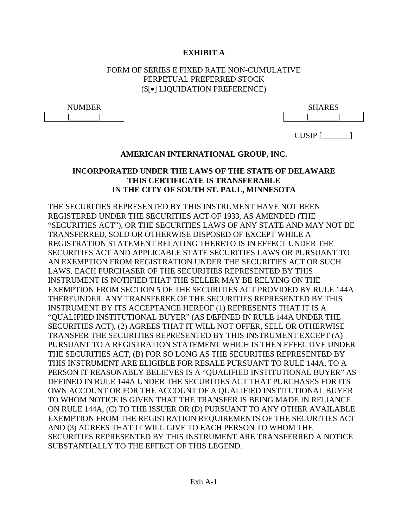# **EXHIBIT A**

# FORM OF SERIES E FIXED RATE NON-CUMULATIVE PERPETUAL PREFERRED STOCK (\$[•] LIQUIDATION PREFERENCE)

| NUMBER | <b>CHARES</b><br>سمد |
|--------|----------------------|
|        |                      |

 $CUSIP$  [\_\_\_\_\_\_\_\_]

# **AMERICAN INTERNATIONAL GROUP, INC.**

# **INCORPORATED UNDER THE LAWS OF THE STATE OF DELAWARE THIS CERTIFICATE IS TRANSFERABLE IN THE CITY OF SOUTH ST. PAUL, MINNESOTA**

THE SECURITIES REPRESENTED BY THIS INSTRUMENT HAVE NOT BEEN REGISTERED UNDER THE SECURITIES ACT OF 1933, AS AMENDED (THE "SECURITIES ACT"), OR THE SECURITIES LAWS OF ANY STATE AND MAY NOT BE TRANSFERRED, SOLD OR OTHERWISE DISPOSED OF EXCEPT WHILE A REGISTRATION STATEMENT RELATING THERETO IS IN EFFECT UNDER THE SECURITIES ACT AND APPLICABLE STATE SECURITIES LAWS OR PURSUANT TO AN EXEMPTION FROM REGISTRATION UNDER THE SECURITIES ACT OR SUCH LAWS. EACH PURCHASER OF THE SECURITIES REPRESENTED BY THIS INSTRUMENT IS NOTIFIED THAT THE SELLER MAY BE RELYING ON THE EXEMPTION FROM SECTION 5 OF THE SECURITIES ACT PROVIDED BY RULE 144A THEREUNDER. ANY TRANSFEREE OF THE SECURITIES REPRESENTED BY THIS INSTRUMENT BY ITS ACCEPTANCE HEREOF (1) REPRESENTS THAT IT IS A "QUALIFIED INSTITUTIONAL BUYER" (AS DEFINED IN RULE 144A UNDER THE SECURITIES ACT), (2) AGREES THAT IT WILL NOT OFFER, SELL OR OTHERWISE TRANSFER THE SECURITIES REPRESENTED BY THIS INSTRUMENT EXCEPT (A) PURSUANT TO A REGISTRATION STATEMENT WHICH IS THEN EFFECTIVE UNDER THE SECURITIES ACT, (B) FOR SO LONG AS THE SECURITIES REPRESENTED BY THIS INSTRUMENT ARE ELIGIBLE FOR RESALE PURSUANT TO RULE 144A, TO A PERSON IT REASONABLY BELIEVES IS A "QUALIFIED INSTITUTIONAL BUYER" AS DEFINED IN RULE 144A UNDER THE SECURITIES ACT THAT PURCHASES FOR ITS OWN ACCOUNT OR FOR THE ACCOUNT OF A QUALIFIED INSTITUTIONAL BUYER TO WHOM NOTICE IS GIVEN THAT THE TRANSFER IS BEING MADE IN RELIANCE ON RULE 144A, (C) TO THE ISSUER OR (D) PURSUANT TO ANY OTHER AVAILABLE EXEMPTION FROM THE REGISTRATION REQUIREMENTS OF THE SECURITIES ACT AND (3) AGREES THAT IT WILL GIVE TO EACH PERSON TO WHOM THE SECURITIES REPRESENTED BY THIS INSTRUMENT ARE TRANSFERRED A NOTICE SUBSTANTIALLY TO THE EFFECT OF THIS LEGEND.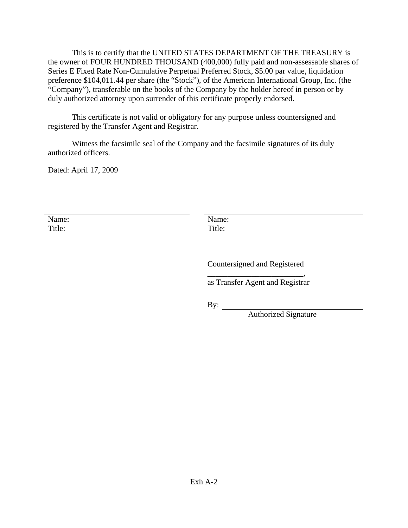This is to certify that the UNITED STATES DEPARTMENT OF THE TREASURY is the owner of FOUR HUNDRED THOUSAND (400,000) fully paid and non-assessable shares of Series E Fixed Rate Non-Cumulative Perpetual Preferred Stock, \$5.00 par value, liquidation preference \$104,011.44 per share (the "Stock"), of the American International Group, Inc. (the "Company"), transferable on the books of the Company by the holder hereof in person or by duly authorized attorney upon surrender of this certificate properly endorsed.

This certificate is not valid or obligatory for any purpose unless countersigned and registered by the Transfer Agent and Registrar.

Witness the facsimile seal of the Company and the facsimile signatures of its duly authorized officers.

Dated: April 17, 2009

Name: Title:

 Name: Title:

Countersigned and Registered

\_\_\_\_\_\_\_\_\_\_\_\_\_\_\_\_\_\_\_\_\_\_\_\_, as Transfer Agent and Registrar

By:  $\qquad \qquad$ 

Authorized Signature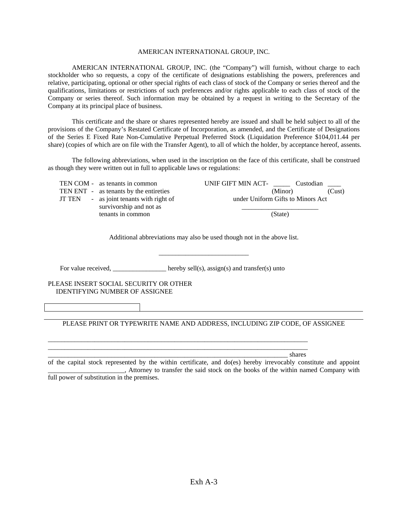#### AMERICAN INTERNATIONAL GROUP, INC.

AMERICAN INTERNATIONAL GROUP, INC. (the "Company") will furnish, without charge to each stockholder who so requests, a copy of the certificate of designations establishing the powers, preferences and relative, participating, optional or other special rights of each class of stock of the Company or series thereof and the qualifications, limitations or restrictions of such preferences and/or rights applicable to each class of stock of the Company or series thereof. Such information may be obtained by a request in writing to the Secretary of the Company at its principal place of business.

This certificate and the share or shares represented hereby are issued and shall be held subject to all of the provisions of the Company's Restated Certificate of Incorporation, as amended, and the Certificate of Designations of the Series E Fixed Rate Non-Cumulative Perpetual Preferred Stock (Liquidation Preference \$104,011.44 per share) (copies of which are on file with the Transfer Agent), to all of which the holder, by acceptance hereof, assents.

The following abbreviations, when used in the inscription on the face of this certificate, shall be construed as though they were written out in full to applicable laws or regulations:

|        | TEN COM - as tenants in common                              | UNIF GIFT MIN ACT-<br>Custodian   |        |
|--------|-------------------------------------------------------------|-----------------------------------|--------|
|        | TEN ENT - as tenants by the entireties                      | (Minor)                           | (Cust) |
| JT TEN | - as joint tenants with right of<br>survivorship and not as | under Uniform Gifts to Minors Act |        |
|        | tenants in common                                           | (State)                           |        |

Additional abbreviations may also be used though not in the above list.

\_\_\_\_\_\_\_\_\_\_\_\_\_\_\_\_\_\_\_\_\_\_\_\_\_\_\_

For value received, \_\_\_\_\_\_\_\_\_\_\_\_\_\_\_\_\_ hereby sell(s), assign(s) and transfer(s) unto

\_\_\_\_\_\_\_\_\_\_\_\_\_\_\_\_\_\_\_\_\_\_\_\_\_\_\_\_\_\_\_\_\_\_\_\_\_\_\_\_\_\_\_\_\_\_\_\_\_\_\_\_\_\_\_\_\_\_\_\_\_\_\_\_\_\_\_\_\_\_\_\_\_\_\_\_\_\_ \_\_\_\_\_\_\_\_\_\_\_\_\_\_\_\_\_\_\_\_\_\_\_\_\_\_\_\_\_\_\_\_\_\_\_\_\_\_\_\_\_\_\_\_\_\_\_\_\_\_\_\_\_\_\_\_\_\_\_\_\_\_\_\_\_\_\_\_\_\_\_\_\_\_\_\_\_\_

PLEASE INSERT SOCIAL SECURITY OR OTHER IDENTIFYING NUMBER OF ASSIGNEE

PLEASE PRINT OR TYPEWRITE NAME AND ADDRESS, INCLUDING ZIP CODE, OF ASSIGNEE

\_\_\_\_\_\_\_\_\_\_\_\_\_\_\_\_\_\_\_\_\_\_\_\_\_\_\_\_\_\_\_\_\_\_\_\_\_\_\_\_\_\_\_\_\_\_\_\_\_\_\_\_\_\_\_\_\_\_\_\_\_\_\_\_\_\_\_\_\_\_\_\_ shares

of the capital stock represented by the within certificate, and do(es) hereby irrevocably constitute and appoint \_\_\_\_\_\_\_\_\_\_\_\_\_\_\_\_\_\_\_\_\_\_\_, Attorney to transfer the said stock on the books of the within named Company with full power of substitution in the premises.